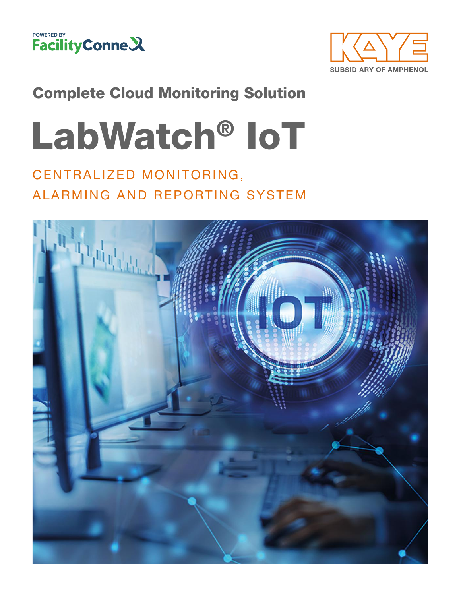



### Complete Cloud Monitoring Solution

# LabWatch® IoT

### CENTRALIZED MONITORING, ALARMING AND REPORTING SYSTEM

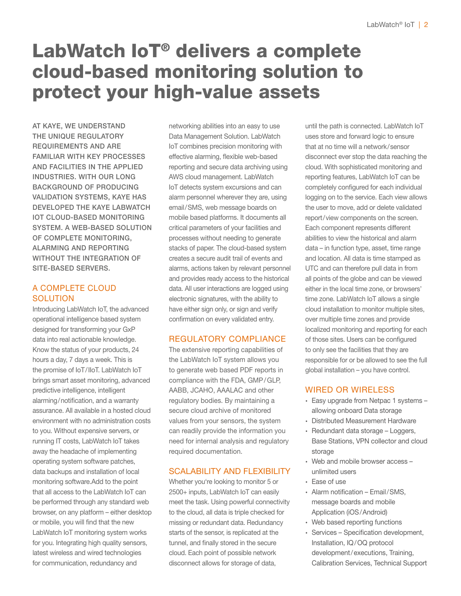### LabWatch IoT® delivers a complete cloud-based monitoring solution to protect your high-value assets

AT KAYE, WE UNDERSTAND THE UNIQUE REGULATORY REQUIREMENTS AND ARE FAMILIAR WITH KEY PROCESSES AND FACILITIES IN THE APPLIED INDUSTRIES. WITH OUR LONG BACKGROUND OF PRODUCING VALIDATION SYSTEMS, KAYE HAS DEVELOPED THE KAYE LABWATCH IOT CLOUD-BASED MONITORING SYSTEM. A WEB-BASED SOLUTION OF COMPLETE MONITORING, ALARMING AND REPORTING WITHOUT THE INTEGRATION OF SITE-BASED SERVERS.

#### A COMPLETE CLOUD **SOLUTION**

Introducing LabWatch IoT, the advanced operational intelligence based system designed for transforming your GxP data into real actionable knowledge. Know the status of your products, 24 hours a day, 7 days a week. This is the promise of IoT/IIoT. LabWatch IoT brings smart asset monitoring, advanced predictive intelligence, intelligent alarming/notification, and a warranty assurance. All available in a hosted cloud environment with no administration costs to you. Without expensive servers, or running IT costs, LabWatch IoT takes away the headache of implementing operating system software patches, data backups and installation of local monitoring software.Add to the point that all access to the LabWatch IoT can be performed through any standard web browser, on any platform – either desktop or mobile, you will find that the new LabWatch IoT monitoring system works for you. Integrating high quality sensors, latest wireless and wired technologies for communication, redundancy and

networking abilities into an easy to use Data Management Solution. LabWatch IoT combines precision monitoring with effective alarming, flexible web-based reporting and secure data archiving using AWS cloud management. LabWatch IoT detects system excursions and can alarm personnel wherever they are, using email/SMS, web message boards on mobile based platforms. It documents all critical parameters of your facilities and processes without needing to generate stacks of paper. The cloud-based system creates a secure audit trail of events and alarms, actions taken by relevant personnel and provides ready access to the historical data. All user interactions are logged using electronic signatures, with the ability to have either sign only, or sign and verify confirmation on every validated entry.

#### REGULATORY COMPLIANCE

The extensive reporting capabilities of the LabWatch IoT system allows you to generate web based PDF reports in compliance with the FDA, GMP/GLP, AABB, JCAHO, AAALAC and other regulatory bodies. By maintaining a secure cloud archive of monitored values from your sensors, the system can readily provide the information you need for internal analysis and regulatory required documentation.

#### SCALABILITY AND FLEXIBILITY

Whether you're looking to monitor 5 or 2500+ inputs, LabWatch IoT can easily meet the task. Using powerful connectivity to the cloud, all data is triple checked for missing or redundant data. Redundancy starts of the sensor, is replicated at the tunnel, and finally stored in the secure cloud. Each point of possible network disconnect allows for storage of data,

until the path is connected. LabWatch IoT uses store and forward logic to ensure that at no time will a network/sensor disconnect ever stop the data reaching the cloud. With sophisticated monitoring and reporting features, LabWatch IoT can be completely configured for each individual logging on to the service. Each view allows the user to move, add or delete validated report/view components on the screen. Each component represents different abilities to view the historical and alarm data – in function type, asset, time range and location. All data is time stamped as UTC and can therefore pull data in from all points of the globe and can be viewed either in the local time zone, or browsers' time zone. LabWatch IoT allows a single cloud installation to monitor multiple sites, over multiple time zones and provide localized monitoring and reporting for each of those sites. Users can be configured to only see the facilities that they are responsible for or be allowed to see the full global installation – you have control.

#### WIRED OR WIRELESS

- ∙ Easy upgrade from Netpac 1 systems allowing onboard Data storage
- ∙ Distributed Measurement Hardware
- ∙ Redundant data storage Loggers, Base Stations, VPN collector and cloud storage
- ∙ Web and mobile browser access unlimited users
- ∙ Ease of use
- ∙ Alarm notification Email/SMS, message boards and mobile Application (iOS/Android)
- ∙ Web based reporting functions
- ∙ Services Specification development, Installation, IQ/OQ protocol development/executions, Training, Calibration Services, Technical Support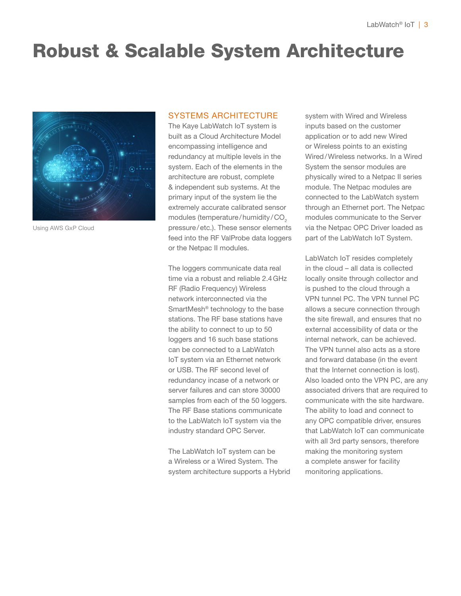### Robust & Scalable System Architecture



Using AWS GxP Cloud

#### SYSTEMS ARCHITECTURE

The Kaye LabWatch IoT system is built as a Cloud Architecture Model encompassing intelligence and redundancy at multiple levels in the system. Each of the elements in the architecture are robust, complete & independent sub systems. At the primary input of the system lie the extremely accurate calibrated sensor modules (temperature/humidity/CO<sub>2</sub> pressure/etc.). These sensor elements feed into the RF ValProbe data loggers or the Netpac II modules.

The loggers communicate data real time via a robust and reliable 2.4GHz RF (Radio Frequency) Wireless network interconnected via the SmartMesh® technology to the base stations. The RF base stations have the ability to connect to up to 50 loggers and 16 such base stations can be connected to a LabWatch IoT system via an Ethernet network or USB. The RF second level of redundancy incase of a network or server failures and can store 30000 samples from each of the 50 loggers. The RF Base stations communicate to the LabWatch IoT system via the industry standard OPC Server.

The LabWatch IoT system can be a Wireless or a Wired System. The system architecture supports a Hybrid system with Wired and Wireless inputs based on the customer application or to add new Wired or Wireless points to an existing Wired/Wireless networks. In a Wired System the sensor modules are physically wired to a Netpac II series module. The Netpac modules are connected to the LabWatch system through an Ethernet port. The Netpac modules communicate to the Server via the Netpac OPC Driver loaded as part of the LabWatch IoT System.

LabWatch IoT resides completely in the cloud – all data is collected locally onsite through collector and is pushed to the cloud through a VPN tunnel PC. The VPN tunnel PC allows a secure connection through the site firewall, and ensures that no external accessibility of data or the internal network, can be achieved. The VPN tunnel also acts as a store and forward database (in the event that the Internet connection is lost). Also loaded onto the VPN PC, are any associated drivers that are required to communicate with the site hardware. The ability to load and connect to any OPC compatible driver, ensures that LabWatch IoT can communicate with all 3rd party sensors, therefore making the monitoring system a complete answer for facility monitoring applications.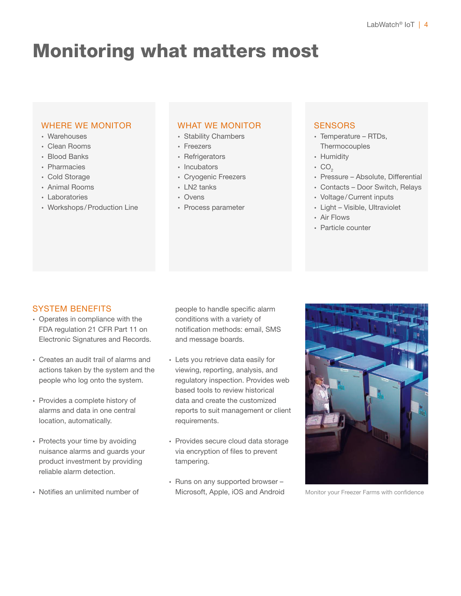### Monitoring what matters most

#### WHERE WE MONITOR

- ∙ Warehouses
- ∙ Clean Rooms
- ∙ Blood Banks
- ∙ Pharmacies
- ∙ Cold Storage
- ∙ Animal Rooms
- ∙ Laboratories
- ∙ Workshops /Production Line

#### WHAT WE MONITOR

- ∙ Stability Chambers
- ∙ Freezers
- ∙ Refrigerators
- ∙ Incubators
- ∙ Cryogenic Freezers
- ∙ LN2 tanks
- ∙ Ovens
- ∙ Process parameter

#### **SENSORS**

- ∙ Temperature RTDs, **Thermocouples**
- ∙ Humidity
- $\cdot$  CO<sub>2</sub>
- ∙ Pressure Absolute, Differential
- ∙ Contacts Door Switch, Relays
- ∙ Voltage/Current inputs
- ∙ Light Visible, Ultraviolet
- ∙ Air Flows
- ∙ Particle counter

#### SYSTEM BENEFITS

- ∙ Operates in compliance with the FDA regulation 21 CFR Part 11 on Electronic Signatures and Records.
- ∙ Creates an audit trail of alarms and actions taken by the system and the people who log onto the system.
- ∙ Provides a complete history of alarms and data in one central location, automatically.
- ∙ Protects your time by avoiding nuisance alarms and guards your product investment by providing reliable alarm detection.
- ∙ Notifies an unlimited number of

people to handle specific alarm conditions with a variety of notification methods: email, SMS and message boards.

- ∙ Lets you retrieve data easily for viewing, reporting, analysis, and regulatory inspection. Provides web based tools to review historical data and create the customized reports to suit management or client requirements.
- ∙ Provides secure cloud data storage via encryption of files to prevent tampering.
- ∙ Runs on any supported browser Microsoft, Apple, iOS and Android



Monitor your Freezer Farms with confidence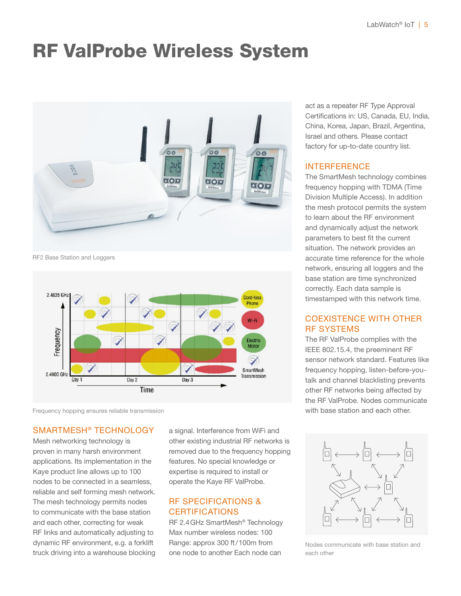### RF ValProbe Wireless System



RF2 Base Station and Loggers



Frequency hopping ensures reliable transmission

#### SMARTMESH® TECHNOLOGY

Mesh networking technology is proven in many harsh environment applications. Its implementation in the Kaye product line allows up to 100 nodes to be connected in a seamless, reliable and self forming mesh network. The mesh technology permits nodes to communicate with the base station and each other, correcting for weak RF links and automatically adjusting to dynamic RF environment, e.g. a forklift truck driving into a warehouse blocking

a signal. Interference from WiFi and other existing industrial RF networks is removed due to the frequency hopping features. No special knowledge or expertise is required to install or operate the Kaye RF ValProbe.

#### RF SPECIFICATIONS & **CERTIFICATIONS**

RF 2.4GHz SmartMesh® Technology Max number wireless nodes: 100 Range: approx 300 ft/100m from one node to another Each node can

act as a repeater RF Type Approval Certifications in: US, Canada, EU, India, China, Korea, Japan, Brazil, Argentina, Israel and others. Please contact factory for up-to-date country list.

#### INTERFERENCE

The SmartMesh technology combines frequency hopping with TDMA (Time Division Multiple Access). In addition the mesh protocol permits the system to learn about the RF environment and dynamically adjust the network parameters to best fit the current situation. The network provides an accurate time reference for the whole network, ensuring all loggers and the base station are time synchronized correctly. Each data sample is timestamped with this network time.

#### COEXISTENCE WITH OTHER RF SYSTEMS

The RF ValProbe complies with the IEEE 802.15.4, the preeminent RF sensor network standard. Features like frequency hopping, listen-before-youtalk and channel blacklisting prevents other RF networks being affected by the RF ValProbe. Nodes communicate with base station and each other.



Nodes communicate with base station and each other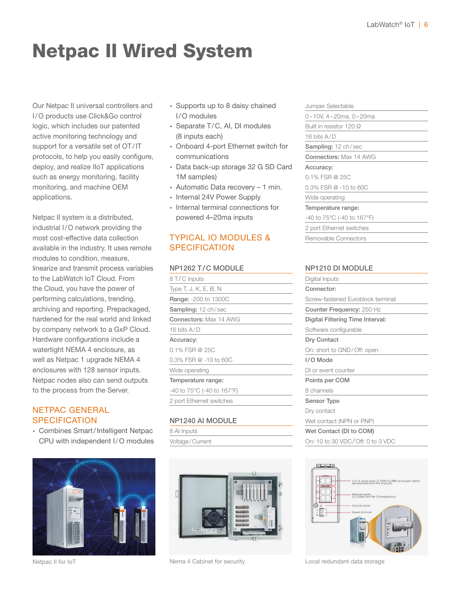# Netpac II Wired System

Our Netpac II universal controllers and I/O products use Click&Go control logic, which includes our patented active monitoring technology and support for a versatile set of OT/IT protocols, to help you easily configure, deploy, and realize IIoT applications such as energy monitoring, facility monitoring, and machine OEM applications.

Netpac II system is a distributed, industrial I/O network providing the most cost-effective data collection available in the industry. It uses remote modules to condition, measure, linearize and transmit process variables to the LabWatch IoT Cloud. From the Cloud, you have the power of performing calculations, trending, archiving and reporting. Prepackaged, hardened for the real world and linked by company network to a GxP Cloud. Hardware configurations include a watertight NEMA 4 enclosure, as well as Netpac 1 upgrade NEMA 4 enclosures with 128 sensor inputs. Netpac nodes also can send outputs to the process from the Server.

#### NETPAC GENERAL **SPECIFICATION**

∙ Combines Smart/Intelligent Netpac CPU with independent I/O modules



- ∙ Supports up to 8 daisy chained I/O modules
- ∙ Separate T/C, AI, DI modules (8 inputs each)
- ∙ Onboard 4-port Ethernet switch for communications
- ∙ Data back-up storage 32 G SD Card 1M samples)
- ∙ Automatic Data recovery 1 min.
- ∙ Internal 24V Power Supply
- ∙ Internal terminal connections for powered 4–20ma inputs

#### TYPICAL IO MODULES & **SPECIFICATION**

#### NP1262 T/C MODULE

| 8 T/C Inputs                                    |  |  |  |  |
|-------------------------------------------------|--|--|--|--|
| Type T, J, K, E, B, N                           |  |  |  |  |
| Range: -200 to 1300C                            |  |  |  |  |
| Sampling: 12 ch/sec                             |  |  |  |  |
| <b>Connectors: Max 14 AWG</b>                   |  |  |  |  |
| 16 bits $A/D$                                   |  |  |  |  |
| Accuracy:                                       |  |  |  |  |
| $0.1\%$ FSR @ 25C                               |  |  |  |  |
| $0.3\%$ FSR $@ - 10$ to 60C                     |  |  |  |  |
| Wide operating                                  |  |  |  |  |
| Temperature range:                              |  |  |  |  |
| -40 to $75^{\circ}$ C (-40 to 167 $^{\circ}$ F) |  |  |  |  |
| 2 port Ethernet switches                        |  |  |  |  |
|                                                 |  |  |  |  |

#### NP1240 AI MODULE

8 AI Inputs Voltage/Current



Netpac II for IoT **Nema 4 Cabinet for security Local redundant data storage** 

#### Jumper Selectable

0–10V, 4–20ma, 0–20ma

Built in resistor 120 Ω

16 bits A/D

Sampling: 12 ch/sec

Connectors: Max 14 AWG

#### Accuracy:

0.1% FSR @ 25C

0.3% FSR @ -10 to 60C

#### Wide operating

Temperature range:

-40 to 75°C (-40 to 167°F)

2 port Ethernet switches

Removable Connectors

#### NP1210 DI MODULE

| Digital Inputs                    |  |  |  |  |  |
|-----------------------------------|--|--|--|--|--|
| Connector:                        |  |  |  |  |  |
| Screw-fastened Euroblock terminal |  |  |  |  |  |
| Counter Frequency: 250 Hz         |  |  |  |  |  |
| Digital Filtering Time Interval:  |  |  |  |  |  |
| Software configurable             |  |  |  |  |  |
| Dry Contact                       |  |  |  |  |  |
| On: short to GND/Off: open        |  |  |  |  |  |
| I/O Mode                          |  |  |  |  |  |
| DI or event counter               |  |  |  |  |  |
| Points per COM                    |  |  |  |  |  |
| 8 channels                        |  |  |  |  |  |
| Sensor Type                       |  |  |  |  |  |
| Dry contact                       |  |  |  |  |  |
| Wet contact (NPN or PNP)          |  |  |  |  |  |
| Wet Contact (DI to COM)           |  |  |  |  |  |
| On: 10 to 30 VDC/Off: 0 to 3 VDC  |  |  |  |  |  |
|                                   |  |  |  |  |  |

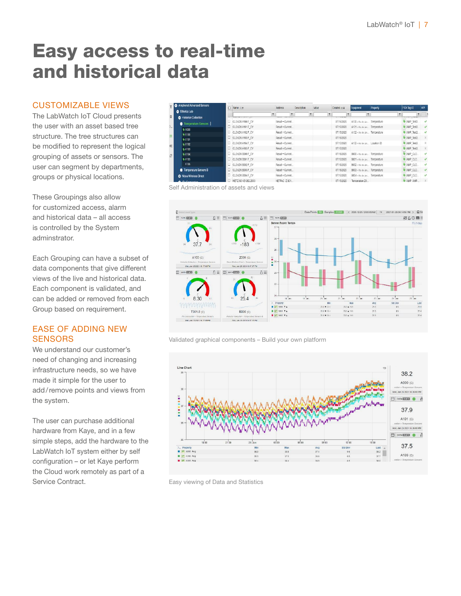### Easy access to real-time and historical data

#### CUSTOMIZABLE VIEWS

The LabWatch IoT Cloud presents the user with an asset based tree structure. The tree structures can be modified to represent the logical grouping of assets or sensors. The user can segment by departments, groups or physical locations.

These Groupings also allow for customized access, alarm and historical data – all access is controlled by the System adminstrator.

Each Grouping can have a subset of data components that give different views of the live and historical data. Each component is validated, and can be added or removed from each Group based on requirement.

#### EASE OF ADDING NEW **SENSORS**

We understand our customer's need of changing and increasing infrastructure needs, so we have made it simple for the user to add/remove points and views from the system.

The user can purchase additional hardware from Kaye, and in a few simple steps, add the hardware to the LabWatch IoT system either by self configuration – or let Kaye perform the Cloud work remotely as part of a Service Contract.

|                  | Amphenol Advanced Sensors      | $\Box$ Name $\emptyset$ + | Address          | <b>Description</b> | value | Created m+           | Equipment                       | Property | FCX Tag ID         | KPI          |
|------------------|--------------------------------|---------------------------|------------------|--------------------|-------|----------------------|---------------------------------|----------|--------------------|--------------|
|                  | <b>Billerica Lab</b>           |                           |                  |                    |       |                      |                                 |          | ۳                  |              |
| п                | <b>B</b> Historian Collection  | WHERE IT OFFICE A T       |                  |                    |       | <b>WILLIAM STATE</b> |                                 |          | <b>THEFT LEADS</b> |              |
|                  | Temperature Sensors            | CLOUD1A100 F CV           | Result = Current |                    |       | 07/15/2020           | A100 > Rio de Jan Temperature   |          | AMP Test2          | $\checkmark$ |
| $\sum_{i=1}^{n}$ |                                | CLOUD1A101.F CV           | Result = Current |                    |       | 07/15/2020           | A101 > Rio de Jan Temperature   |          | AMP_Test2          | $\vee$       |
|                  | <b>9 A000</b>                  | CLOUD1.A102.F CV          | Result = Current |                    |       | 07/15/2020           | A102 > Rio de Jan Temperature   |          | AMP Test2          | $\checkmark$ |
| 崖                | <b>9 A100</b>                  | CLOUD1A103.F CV           | Result = Current |                    |       | 07/15/2020           |                                 |          | AMP Test2          | $-2$         |
|                  | <b>9.4101</b>                  | CLOUD1.A104 F CV          | Result = Current |                    |       | 07/15/2020           | A102 > Rio de Jan., Location ID |          | AMP Test2          | $\times$     |
| 姹                | <b>BA102</b>                   | CLOUD1A105 F CV           | Result = Current |                    |       | 07/15/2020           |                                 |          | AMP Test2          | $\times$     |
|                  | <b>@A103</b>                   | CLOUD1 B000 F CV          | Result = Current |                    |       | 07/15/2020           |                                 |          | AMP CLO.           | $\checkmark$ |
| ø                | <b>9 A104</b>                  |                           |                  |                    |       |                      | BOOD > Rio de Jan Temperature   |          |                    |              |
|                  | <b>9 A105</b>                  | CLOUD1.B001.F CV          | Result = Current |                    |       | 07/15/2020           | B001 > Rio de Jan Temperature   |          | AMP CLO.           | $\checkmark$ |
|                  | A106                           | CLOUD1.B002 F CV          | Result = Current |                    |       | 07/15/2020           | B002 > Rio de Jan Temperature   |          | AMP CLO.           | $\checkmark$ |
|                  | <b>C</b> Temperature Sensors B | CLOUD1.B003.F CV          | Result = Current |                    |       | 07/15/2020           | B003 > Rio de Jan Temperature   |          | AMP_CLO            | $\checkmark$ |
|                  | <b>C</b> Moxa Wireless Direct  | CLOUD1.B004.F CV          | Result = Current |                    |       | 07/15/2020           | B004 > Rio de Jan Temperature   |          | AMP CLO            | $\checkmark$ |
|                  | <b>C</b> IThe Compassion       | NETZ S01-F1262 7000       | NETPAC 7 S01     |                    |       | 07/15/2020           | Temperature 20.                 |          | AMP AMP            | X            |

Self Administration of assets and views



Validated graphical components – Build your own platform



Easy viewing of Data and Statistics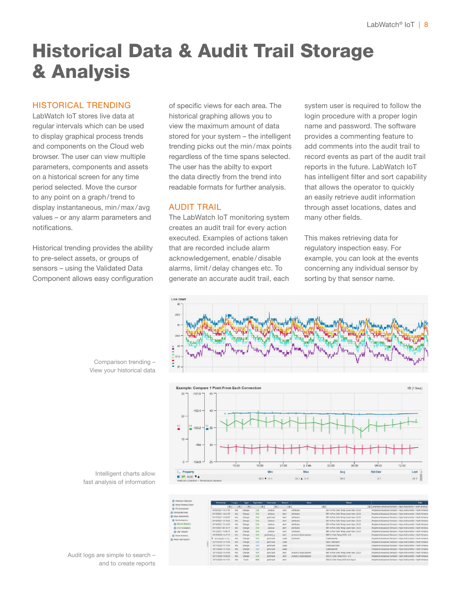### Historical Data & Audit Trail Storage & Analysis

#### HISTORICAL TRENDING

LabWatch IoT stores live data at regular intervals which can be used to display graphical process trends and components on the Cloud web browser. The user can view multiple parameters, components and assets on a historical screen for any time period selected. Move the cursor to any point on a graph/trend to display instantaneous, min/max/avg values – or any alarm parameters and notifications.

Historical trending provides the ability to pre-select assets, or groups of sensors – using the Validated Data Component allows easy configuration of specific views for each area. The historical graphing allows you to view the maximum amount of data stored for your system – the intelligent trending picks out the min/max points regardless of the time spans selected. The user has the abilty to export the data directly from the trend into readable formats for further analysis.

#### AUDIT TRAIL

The LabWatch IoT monitoring system creates an audit trail for every action executed. Examples of actions taken that are recorded include alarm acknowledgement, enable /disable alarms, limit/delay changes etc. To generate an accurate audit trail, each system user is required to follow the login procedure with a proper login name and password. The software provides a commenting feature to add comments into the audit trail to record events as part of the audit trail reports in the future. LabWatch IoT has intelligent filter and sort capability that allows the operator to quickly an easily retrieve audit information through asset locations, dates and many other fields.

This makes retrieving data for regulatory inspection easy. For example, you can look at the events concerning any individual sensor by sorting by that sensor name.



Intelligent charts allow fast analysis of information

Comparison trending – View your historical data

| Historian Collection | <b>Timestamp</b>    | Log L              | Type   | Operation | Usemame        | <b>Source</b> | Area                    |              | <b>Name</b>                          | Path -                                                         |
|----------------------|---------------------|--------------------|--------|-----------|----------------|---------------|-------------------------|--------------|--------------------------------------|----------------------------------------------------------------|
| Moxa Wireless Direct | $\tau$              |                    |        |           |                | ۳             |                         | $\mathbf{r}$ |                                      | T amphenol advanced sensors > kaye instruments > north america |
| Fix Connection       | 01/26/2021 14:47:21 | info               | Change | Edit      | <b>JAIdous</b> | Alect         | Attributes              |              | BB1 A Pos Cells Temp Lower than LCLO | Amphenol Advanced Sensors > Kaye Instruments > North America   |
| Clinical Services    | 01/19/2021 14:41:05 | Info               | Change | Edit      | JAIdous        | Alert         | Attributes              |              | BB1 A Pos Cells Temp Lower than LOLO | Amphenol Advanced Sensors > Kaye Instruments > North America   |
| Kaye Instruments     | 01/15/2021 15:26:05 | Info <sup>1</sup>  | Change | Edit      | ipritchard     | Alert         | Attitudes               |              | BB1 A Pos Cells Temp Lower than LOLO | Amphenol Advanced Sensors > Kaye Instruments > North America   |
| North America        | 01/14/2021 13:18:41 | linfo <sup>-</sup> | Change | Edit      | <b>JAIdous</b> | Alest         | Attributes              |              | BB1 A Pos Cells Temp Lower than LOLO | Amphenol Advanced Sensors > Kaye Instruments > North America   |
| <b>O</b> Blood Banks | 01/14/2021 13:14:50 | Info:              | Change | Edit      | <b>JAIdous</b> | <b>Alert</b>  | Attributes              |              | BB1 A Pos Cells Temp Lower than LOLO | Amphenol Advanced Sensors > Kaye Instruments > North America   |
| C CO2 Incubators     | 01/13/2021 08:18:17 | Info               | Change | Edit      | <b>JAIdous</b> | Alert         | Attributes              |              | BB1 A Pos Cells Temp Lower than LCLO | Amphenol Advanced Sensors > Kave Instruments > North America   |
| <b>C</b> LN2 Vessels | 01/12/2021 10:06:15 | tnfo <sup>1</sup>  | Change | Edit      | <b>JARSOUS</b> | Alert         | Attributes              |              | BB1 A Pos Cells Temp Lower than LOLO | Amphenol Advanced Sensors > Kave Instruments > North America   |
| South America        | 12/18/2020 13:47:10 | teño <sup>-</sup>  | Change | Edit      | jpritchard o   | Alect         | Actions   Subscriptions |              | BB2 O Cells Temp OOS - 2-8           | Amphenol Advanced Sensors > Kaye Instruments > North America   |
| Mikes Test System    | 8 12/17/2020 14:15  | Info.              | Change | Eat       | ipritchard     | Label         | Attributés              |              | Calibrated By                        | Amphenol Advanced Sensors > Kave Instruments > North America   |
|                      | 12/17/2020 14:15:59 | info               | Change | A233      | jpritchard     | Label         |                         |              | Next Catibration                     | Amphenol Advanced Sensors > Kaye Instruments > North America   |
|                      | 12/17/2020 14:14:00 | Info:              | Change | Add       | ipritchard     | Label         |                         |              | Calibrated Date                      | Amphenol Advanced Sensors > Kaye Instruments > North America   |
|                      | 12/17/2020 14:13:20 | Info <sup>-</sup>  | Change | Add       | jpritchard     | Label         |                         |              | Calibrated By                        | Amphenol Advanced Sensors > Kave Instruments > North America   |
|                      | 12/17/2020 13:45:06 | Info:              | Change | Edit      | ipritchard     | Alest         | Actions   Subscriptions |              | BB1 A Pos Cells Temp Lower than LCLO | Arrighenol Advanced Sensors > Kaye Instruments > North America |
|                      | 12/17/2020 13:04:24 | Info               | Change | Edit      | ipritchard     | Alert.        | Actions   Subscriptions |              | BB2 O Cells Terro OOS - 2-8          | Amphenol Advanced Sensors > Kave Instruments > North America   |
|                      | 12/16/2020 14:17:20 | info:              | Fivent | ACK.      | ipritchard     | Alest         |                         |              | BB2 O Cells Temp OCS 4-6 Deg C       | Amphenol Advanced Sensors > Kaye Instruments > North America   |

Audit logs are simple to search – and to create reports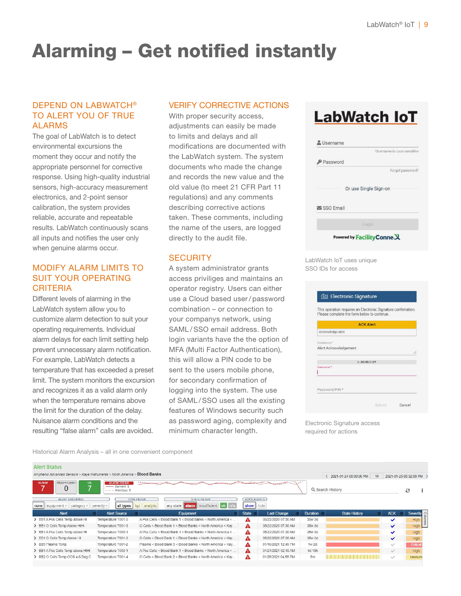## Alarming – Get notified instantly

#### DEPEND ON LABWATCH® TO ALERT YOU OF TRUE ALARMS

The goal of LabWatch is to detect environmental excursions the moment they occur and notify the appropriate personnel for corrective response. Using high-quality industrial sensors, high-accuracy measurement electronics, and 2-point sensor calibration, the system provides reliable, accurate and repeatable results. LabWatch continuously scans all inputs and notifies the user only when genuine alarms occur.

#### MODIFY ALARM LIMITS TO SUIT YOUR OPERATING **CRITERIA**

Different levels of alarming in the LabWatch system allow you to customize alarm detection to suit your operating requirements. Individual alarm delays for each limit setting help prevent unnecessary alarm notification. For example, LabWatch detects a temperature that has exceeded a preset limit. The system monitors the excursion and recognizes it as a valid alarm only when the temperature remains above the limit for the duration of the delay. Nuisance alarm conditions and the resulting "false alarm" calls are avoided.

#### VERIFY CORRECTIVE ACTIONS

With proper security access, adjustments can easily be made to limits and delays and all modifications are documented with the LabWatch system. The system documents who made the change and records the new value and the old value (to meet 21 CFR Part 11 regulations) and any comments describing corrective actions taken. These comments, including the name of the users, are logged directly to the audit file.

#### **SECURITY**

A system administrator grants access priviliges and maintains an operator registry. Users can either use a Cloud based user/ password combination – or connection to your companys network, using SAML/SSO email address. Both login variants have the the option of MFA (Multi Factor Authentication), this will allow a PIN code to be sent to the users mobile phone, for secondary confirmation of logging into the system. The use of SAML / SSO uses all the existing features of Windows security such as password aging, complexity and minimum character length.

### **LabWatch IoT**

|                  | Username is case sensitive |  |  |  |
|------------------|----------------------------|--|--|--|
| Password         |                            |  |  |  |
|                  | Forgot password?           |  |  |  |
|                  | Or use Single Sign-on      |  |  |  |
| $\vee$ SSO Email |                            |  |  |  |
|                  | Login                      |  |  |  |
|                  | Powered by Facility Conne  |  |  |  |

LabWatch IoT uses unique SSO IDs for access

|                       | Please complete the form below to continue. |                    | This operation requires an Electronic Signature confirmation. |
|-----------------------|---------------------------------------------|--------------------|---------------------------------------------------------------|
|                       |                                             | <b>ACK Alert</b>   |                                                               |
| Acknowledge alert     |                                             |                    |                                                               |
| Comments <sup>*</sup> |                                             |                    |                                                               |
|                       | Alert Acknowledgement                       |                    |                                                               |
|                       |                                             | <b>E.SIGNED BY</b> |                                                               |
| Username <sup>*</sup> |                                             |                    |                                                               |
| Password/PIN *        |                                             |                    |                                                               |

Electronic Signature access required for actions

Historical Alarm Analysis – all in one convenient component

| <b>Alert Status</b>                                                        |                                                         |                                                                                                              |                             |                     |           |                                |              |                          |
|----------------------------------------------------------------------------|---------------------------------------------------------|--------------------------------------------------------------------------------------------------------------|-----------------------------|---------------------|-----------|--------------------------------|--------------|--------------------------|
| Amphenol Advanced Sensors > Kaye Instruments > North America > Blood Banks |                                                         |                                                                                                              |                             |                     |           | 1D<br>◇ 2021-01-24 05:00:00 PM |              | 2021-01-25 05:32:09 PM > |
| <b>INSUFFICIENT</b><br><b>ALARM</b><br><b>UK</b>                           | <b>ALARM TREND</b><br>- Current %<br>$- - -$ Previous % |                                                                                                              |                             |                     |           | Q Search History               |              | э                        |
| <b>ALERT GROUPING</b><br>category ><br>$\parallel$ equipment $>$<br>none   | severily ><br>all types                                 | <b>STATE FILTER</b><br><b>IYPE FILIER</b><br>insufficient ok n/a<br>analytic<br>kpi<br>any state <b>alam</b> | <b>ACK'U ALERIS</b><br>show | hide                |           |                                |              |                          |
| Alert                                                                      | <b>Alert Source</b>                                     | Equipment                                                                                                    | <b>State</b>                | <b>Last Change</b>  | Duration  | <b>State History</b>           | <b>ACK</b>   | Severity <sup>O</sup>    |
| > BB1 A Pos Cells Temp above HI                                            | Temperature T001-5                                      | A Pos Cells < Blood Bank 1 < Blood Banks < North America <.                                                  | Α                           | 05/22/2020 07:30 AM | 35w 3d    |                                | ✓            | High                     |
| > BB1 O Cells Temp Above HIHI                                              | Temperature T001-3                                      | O Cells < Blood Bank 1 < Blood Banks < North America < Kay                                                   | A                           | 05/22/2020 07:30 AM | 35W 3d    |                                | $\checkmark$ | High                     |
| > BB1 A Pos Cells Temp above HI                                            | Temperature T000-1                                      | A Pos Cells < Blood Bank 1 < Blood Banks < North America <                                                   | A                           | 05/22/2020 07.30 AM | 35w 3d    |                                | $\checkmark$ | High                     |
| > BB1 O Cells Temp Above I II                                              | Temperature T001-3                                      | O Cells < Diood Dank 1 < Diood Danks < North America < Kay                                                   | A                           | 05/22/2020 07:30 AM | 35w 3d    |                                | $\checkmark$ | High                     |
| > BB3 Plasma Tcmp                                                          | Temperature T001-2                                      | Plasma < Blood Bank 3 < Blood Banks < North America < Kay                                                    | A                           | 01/16/2021 12:45 PM | $1w$ $2d$ |                                | $\checkmark$ | Critica                  |
| > BB1 A Pos Cells Temp above HIHI                                          | Temperature T000 1                                      | A Pos Cells < Blood Bank 1 < Blood Banks < North America <                                                   | A                           | 01/21/2021 02:15 AM | 4d 15h    |                                | ✓            | High                     |
| > BB2 O Cells Temp OOS 4-6 Deg C                                           | Temperature T001-4                                      | O Cells < Blood Bank 2 < Blood Banks < North America < Kay                                                   | Λ                           | 01/25/2021 04:55 PM | 5m        |                                | $\checkmark$ | Medium                   |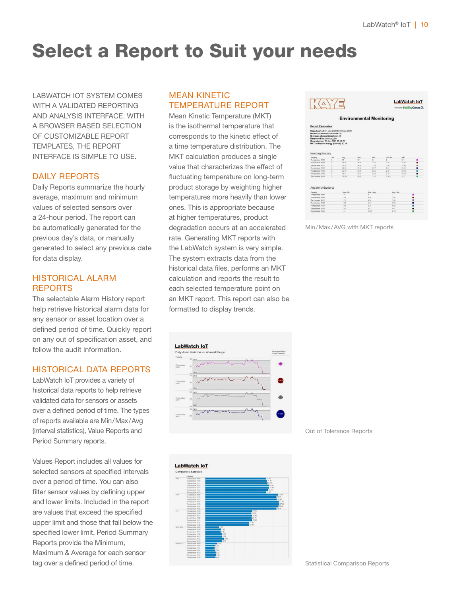## Select a Report to Suit your needs

LABWATCH IOT SYSTEM COMES WITH A VALIDATED REPORTING AND ANALYSIS INTERFACE. WITH A BROWSER BASED SELECTION OF CUSTOMIZABLE REPORT TEMPLATES, THE REPORT INTERFACE IS SIMPLE TO USE.

#### DAILY REPORTS

Daily Reports summarize the hourly average, maximum and minimum values of selected sensors over a 24-hour period. The report can be automatically generated for the previous day's data, or manually generated to select any previous date for data display.

#### HISTORICAL ALARM REPORTS

The selectable Alarm History report help retrieve historical alarm data for any sensor or asset location over a defined period of time. Quickly report on any out of specification asset, and follow the audit information.

#### HISTORICAL DATA REPORTS

LabWatch IoT provides a variety of historical data reports to help retrieve validated data for sensors or assets over a defined period of time. The types of reports available are Min/Max/Avg (interval statistics), Value Reports and Period Summary reports.

Values Report includes all values for selected sensors at specified intervals over a period of time. You can also filter sensor values by defining upper and lower limits. Included in the report are values that exceed the specified upper limit and those that fall below the specified lower limit. Period Summary Reports provide the Minimum, Maximum & Average for each sensor tag over a defined period of time.

#### MEAN KINETIC TEMPERATURE REPORT

Mean Kinetic Temperature (MKT) is the isothermal temperature that corresponds to the kinetic effect of a time temperature distribution. The MKT calculation produces a single value that characterizes the effect of fluctuating temperature on long-term product storage by weighting higher temperatures more heavily than lower ones. This is appropriate because at higher temperatures, product degradation occurs at an accelerated rate. Generating MKT reports with the LabWatch system is very simple. The system extracts data from the historical data files, performs an MKT calculation and reports the result to each selected temperature point on an MKT report. This report can also be formatted to display trends.



Min/Max/AVG with MKT reports





Out of Tolerance Reports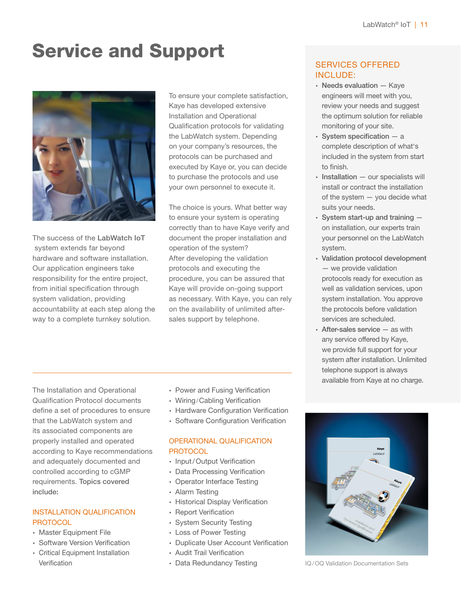## Service and Support



The success of the LabWatch IoT system extends far beyond hardware and software installation. Our application engineers take responsibility for the entire project, from initial specification through system validation, providing accountability at each step along the way to a complete turnkey solution.

To ensure your complete satisfaction, Kaye has developed extensive Installation and Operational Qualification protocols for validating the LabWatch system. Depending on your company's resources, the protocols can be purchased and executed by Kaye or, you can decide to purchase the protocols and use your own personnel to execute it.

The choice is yours. What better way to ensure your system is operating correctly than to have Kaye verify and document the proper installation and operation of the system? After developing the validation protocols and executing the procedure, you can be assured that Kaye will provide on-going support as necessary. With Kaye, you can rely on the availability of unlimited aftersales support by telephone.

#### SERVICES OFFERED INCLUDE:

- ∙ Needs evaluation Kaye engineers will meet with you, review your needs and suggest the optimum solution for reliable monitoring of your site.
- ∙ System specification a complete description of what's included in the system from start to finish.
- ∙ Installation our specialists will install or contract the installation of the system — you decide what suits your needs.
- ∙ System start-up and training on installation, our experts train your personnel on the LabWatch system.
- ∙ Validation protocol development — we provide validation protocols ready for execution as well as validation services, upon system installation. You approve the protocols before validation services are scheduled.
- ∙ After-sales service as with any service offered by Kaye, we provide full support for your system after installation. Unlimited telephone support is always available from Kaye at no charge.

The Installation and Operational Qualification Protocol documents define a set of procedures to ensure that the LabWatch system and its associated components are properly installed and operated according to Kaye recommendations and adequately documented and controlled according to cGMP requirements. Topics covered include:

#### INSTALLATION QUALIFICATION **PROTOCOL**

- ∙ Master Equipment File
- ∙ Software Version Verification
- ∙ Critical Equipment Installation Verification
- ∙ Power and Fusing Verification
- ∙ Wiring/Cabling Verification
- ∙ Hardware Configuration Verification
- ∙ Software Configuration Verification

#### OPERATIONAL QUALIFICATION **PROTOCOL**

- ∙ Input/Output Verification
- ∙ Data Processing Verification
- ∙ Operator Interface Testing
- ∙ Alarm Testing
- ∙ Historical Display Verification
- ∙ Report Verification
- ∙ System Security Testing
- ∙ Loss of Power Testing
- ∙ Duplicate User Account Verification
- ∙ Audit Trail Verification
- ∙ Data Redundancy Testing



IQ/OQ Validation Documentation Sets